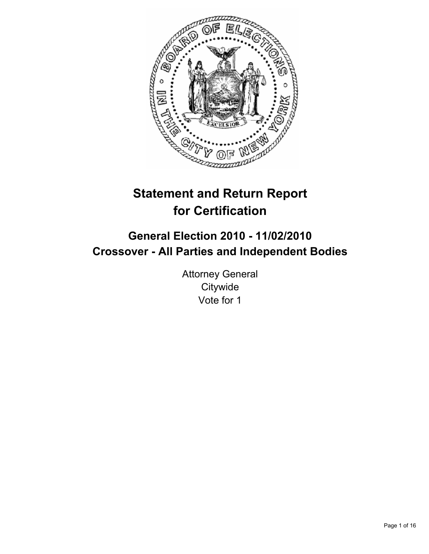

# **Statement and Return Report for Certification**

## **General Election 2010 - 11/02/2010 Crossover - All Parties and Independent Bodies**

Attorney General **Citywide** Vote for 1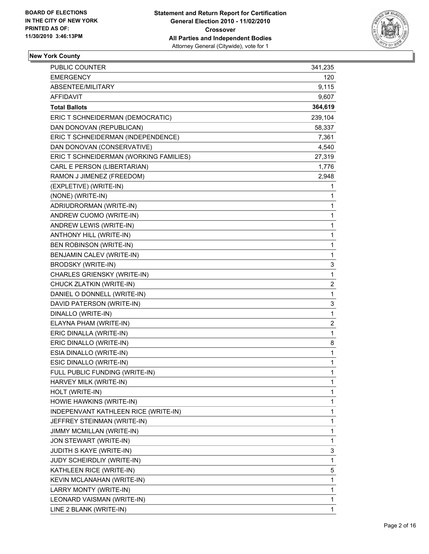

## **New York County**

| PUBLIC COUNTER                         | 341,235 |
|----------------------------------------|---------|
| <b>EMERGENCY</b>                       | 120     |
| ABSENTEE/MILITARY                      | 9,115   |
| AFFIDAVIT                              | 9,607   |
| <b>Total Ballots</b>                   | 364,619 |
| ERIC T SCHNEIDERMAN (DEMOCRATIC)       | 239,104 |
| DAN DONOVAN (REPUBLICAN)               | 58,337  |
| ERIC T SCHNEIDERMAN (INDEPENDENCE)     | 7,361   |
| DAN DONOVAN (CONSERVATIVE)             | 4,540   |
| ERIC T SCHNEIDERMAN (WORKING FAMILIES) | 27,319  |
| CARL E PERSON (LIBERTARIAN)            | 1,776   |
| RAMON J JIMENEZ (FREEDOM)              | 2,948   |
| (EXPLETIVE) (WRITE-IN)                 | 1       |
| (NONE) (WRITE-IN)                      | 1       |
| ADRIUDRORMAN (WRITE-IN)                | 1       |
| ANDREW CUOMO (WRITE-IN)                | 1       |
| ANDREW LEWIS (WRITE-IN)                | 1       |
| ANTHONY HILL (WRITE-IN)                | 1       |
| BEN ROBINSON (WRITE-IN)                | 1       |
| BENJAMIN CALEV (WRITE-IN)              | 1       |
| <b>BRODSKY (WRITE-IN)</b>              | 3       |
| CHARLES GRIENSKY (WRITE-IN)            | 1       |
| CHUCK ZLATKIN (WRITE-IN)               | 2       |
| DANIEL O DONNELL (WRITE-IN)            | 1       |
| DAVID PATERSON (WRITE-IN)              | 3       |
| DINALLO (WRITE-IN)                     | 1       |
| ELAYNA PHAM (WRITE-IN)                 | 2       |
| ERIC DINALLA (WRITE-IN)                | 1       |
| ERIC DINALLO (WRITE-IN)                | 8       |
| ESIA DINALLO (WRITE-IN)                | 1       |
| ESIC DINALLO (WRITE-IN)                | 1       |
| FULL PUBLIC FUNDING (WRITE-IN)         | 1       |
| HARVEY MILK (WRITE-IN)                 | 1       |
| HOLT (WRITE-IN)                        | 1       |
| HOWIE HAWKINS (WRITE-IN)               | 1       |
| INDEPENVANT KATHLEEN RICE (WRITE-IN)   | 1       |
| JEFFREY STEINMAN (WRITE-IN)            | 1       |
| JIMMY MCMILLAN (WRITE-IN)              | 1       |
| JON STEWART (WRITE-IN)                 | 1       |
| JUDITH S KAYE (WRITE-IN)               | 3       |
| JUDY SCHEIRDLIY (WRITE-IN)             | 1       |
| KATHLEEN RICE (WRITE-IN)               | 5       |
| KEVIN MCLANAHAN (WRITE-IN)             | 1       |
| LARRY MONTY (WRITE-IN)                 | 1       |
| LEONARD VAISMAN (WRITE-IN)             | 1       |
| LINE 2 BLANK (WRITE-IN)                | 1       |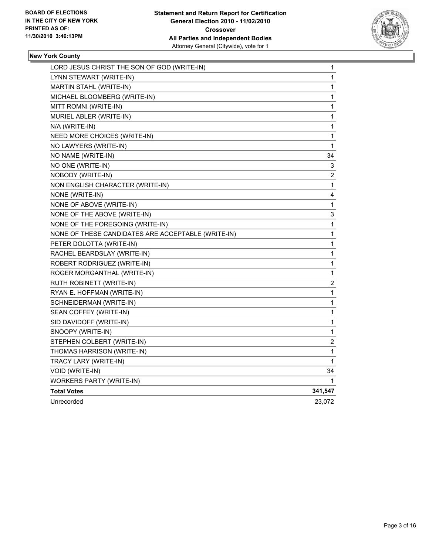

#### **New York County**

| LORD JESUS CHRIST THE SON OF GOD (WRITE-IN)        | 1              |
|----------------------------------------------------|----------------|
| LYNN STEWART (WRITE-IN)                            | 1              |
| MARTIN STAHL (WRITE-IN)                            | 1              |
| MICHAEL BLOOMBERG (WRITE-IN)                       | 1              |
| MITT ROMNI (WRITE-IN)                              | 1              |
| MURIEL ABLER (WRITE-IN)                            | 1              |
| N/A (WRITE-IN)                                     | 1              |
| NEED MORE CHOICES (WRITE-IN)                       | 1              |
| NO LAWYERS (WRITE-IN)                              | 1              |
| NO NAME (WRITE-IN)                                 | 34             |
| NO ONE (WRITE-IN)                                  | 3              |
| NOBODY (WRITE-IN)                                  | $\overline{c}$ |
| NON ENGLISH CHARACTER (WRITE-IN)                   | 1              |
| NONE (WRITE-IN)                                    | 4              |
| NONE OF ABOVE (WRITE-IN)                           | 1              |
| NONE OF THE ABOVE (WRITE-IN)                       | 3              |
| NONE OF THE FOREGOING (WRITE-IN)                   | 1              |
| NONE OF THESE CANDIDATES ARE ACCEPTABLE (WRITE-IN) | 1              |
| PETER DOLOTTA (WRITE-IN)                           | 1              |
| RACHEL BEARDSLAY (WRITE-IN)                        | 1              |
| ROBERT RODRIGUEZ (WRITE-IN)                        | 1              |
| ROGER MORGANTHAL (WRITE-IN)                        | 1              |
| RUTH ROBINETT (WRITE-IN)                           | 2              |
| RYAN E. HOFFMAN (WRITE-IN)                         | 1              |
| SCHNEIDERMAN (WRITE-IN)                            | 1              |
| SEAN COFFEY (WRITE-IN)                             | 1              |
| SID DAVIDOFF (WRITE-IN)                            | 1              |
| SNOOPY (WRITE-IN)                                  | 1              |
| STEPHEN COLBERT (WRITE-IN)                         | 2              |
| THOMAS HARRISON (WRITE-IN)                         | 1              |
| TRACY LARY (WRITE-IN)                              | 1              |
| VOID (WRITE-IN)                                    | 34             |
| <b>WORKERS PARTY (WRITE-IN)</b>                    | 1              |
| <b>Total Votes</b>                                 | 341,547        |
| Unrecorded                                         | 23,072         |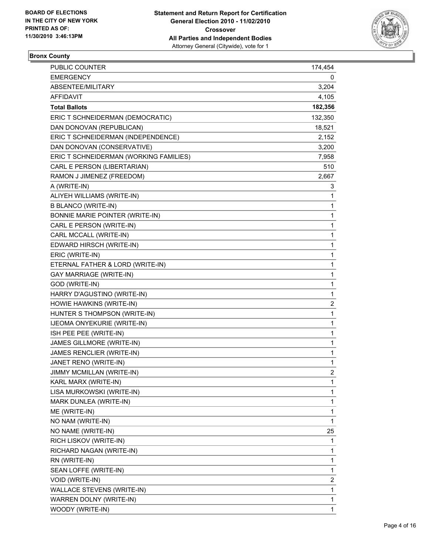

## **Bronx County**

| <b>PUBLIC COUNTER</b>                  | 174,454        |
|----------------------------------------|----------------|
| <b>EMERGENCY</b>                       | 0              |
| ABSENTEE/MILITARY                      | 3,204          |
| AFFIDAVIT                              | 4,105          |
| <b>Total Ballots</b>                   | 182,356        |
| ERIC T SCHNEIDERMAN (DEMOCRATIC)       | 132,350        |
| DAN DONOVAN (REPUBLICAN)               | 18,521         |
| ERIC T SCHNEIDERMAN (INDEPENDENCE)     | 2,152          |
| DAN DONOVAN (CONSERVATIVE)             | 3,200          |
| ERIC T SCHNEIDERMAN (WORKING FAMILIES) | 7,958          |
| CARL E PERSON (LIBERTARIAN)            | 510            |
| RAMON J JIMENEZ (FREEDOM)              | 2,667          |
| A (WRITE-IN)                           | 3              |
| ALIYEH WILLIAMS (WRITE-IN)             | 1              |
| <b>B BLANCO (WRITE-IN)</b>             | 1              |
| BONNIE MARIE POINTER (WRITE-IN)        | 1              |
| CARL E PERSON (WRITE-IN)               | 1              |
| CARL MCCALL (WRITE-IN)                 | 1              |
| EDWARD HIRSCH (WRITE-IN)               | 1              |
| ERIC (WRITE-IN)                        | 1              |
| ETERNAL FATHER & LORD (WRITE-IN)       | 1              |
| <b>GAY MARRIAGE (WRITE-IN)</b>         | 1              |
| GOD (WRITE-IN)                         | 1              |
| HARRY D'AGUSTINO (WRITE-IN)            | 1              |
| HOWIE HAWKINS (WRITE-IN)               | 2              |
| HUNTER S THOMPSON (WRITE-IN)           | 1              |
| IJEOMA ONYEKURIE (WRITE-IN)            | 1              |
| ISH PEE PEE (WRITE-IN)                 | 1              |
| JAMES GILLMORE (WRITE-IN)              | 1              |
| JAMES RENCLIER (WRITE-IN)              | 1              |
| JANET RENO (WRITE-IN)                  | 1              |
| JIMMY MCMILLAN (WRITE-IN)              | $\overline{2}$ |
| KARL MARX (WRITE-IN)                   | 1              |
| LISA MURKOWSKI (WRITE-IN)              | 1              |
| MARK DUNLEA (WRITE-IN)                 | 1              |
| ME (WRITE-IN)                          | 1              |
| NO NAM (WRITE-IN)                      | 1              |
| NO NAME (WRITE-IN)                     | 25             |
| RICH LISKOV (WRITE-IN)                 | 1              |
| RICHARD NAGAN (WRITE-IN)               | 1              |
| RN (WRITE-IN)                          | 1              |
| SEAN LOFFE (WRITE-IN)                  | 1              |
| VOID (WRITE-IN)                        | 2              |
| WALLACE STEVENS (WRITE-IN)             | 1              |
| WARREN DOLNY (WRITE-IN)                | 1              |
| WOODY (WRITE-IN)                       | $\mathbf{1}$   |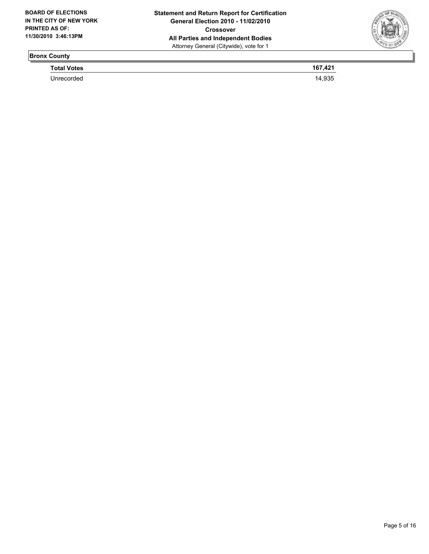

## **Bronx County**

**Total Votes** 167,421 Unrecorded 14,935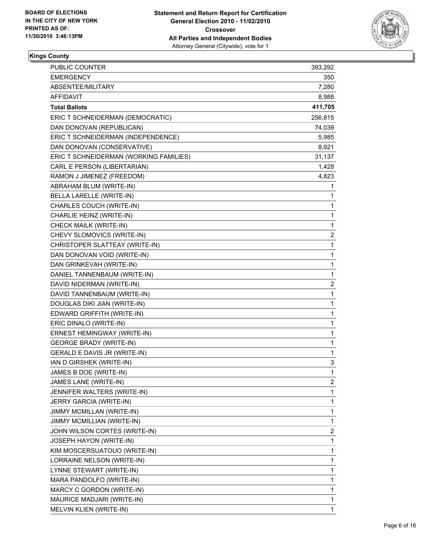

#### **Kings County**

| PUBLIC COUNTER                         | 393,292                 |
|----------------------------------------|-------------------------|
| <b>EMERGENCY</b>                       | 350                     |
| ABSENTEE/MILITARY                      | 7,280                   |
| AFFIDAVIT                              | 8,988                   |
| <b>Total Ballots</b>                   | 411,705                 |
| ERIC T SCHNEIDERMAN (DEMOCRATIC)       | 256,815                 |
| DAN DONOVAN (REPUBLICAN)               | 74,039                  |
| ERIC T SCHNEIDERMAN (INDEPENDENCE)     | 5,985                   |
| DAN DONOVAN (CONSERVATIVE)             | 8,921                   |
| ERIC T SCHNEIDERMAN (WORKING FAMILIES) | 31,137                  |
| CARL E PERSON (LIBERTARIAN)            | 1,428                   |
| RAMON J JIMENEZ (FREEDOM)              | 4,823                   |
| ABRAHAM BLUM (WRITE-IN)                | 1                       |
| BELLA LARELLE (WRITE-IN)               | 1                       |
| CHARLES COUCH (WRITE-IN)               | 1                       |
| CHARLIE HEINZ (WRITE-IN)               | 1                       |
| CHECK MAILK (WRITE-IN)                 | 1                       |
| CHEVY SLOMOVICS (WRITE-IN)             | $\overline{\mathbf{c}}$ |
| CHRISTOPER SLATTEAY (WRITE-IN)         | 1                       |
| DAN DONOVAN VOID (WRITE-IN)            | 1                       |
| DAN GRINKEVAH (WRITE-IN)               | 1                       |
| DANIEL TANNENBAUM (WRITE-IN)           | 1                       |
| DAVID NIDERMAN (WRITE-IN)              | 2                       |
| DAVID TANNENBAUM (WRITE-IN)            | 1                       |
| DOUGLAS DIKI JIAN (WRITE-IN)           | 1                       |
| EDWARD GRIFFITH (WRITE-IN)             | 1                       |
| ERIC DINALO (WRITE-IN)                 | 1                       |
| ERNEST HEMINGWAY (WRITE-IN)            | 1                       |
| <b>GEORGE BRADY (WRITE-IN)</b>         | 1                       |
| GERALD E DAVIS JR (WRITE-IN)           | 1                       |
| IAN D GIRSHEK (WRITE-IN)               | 3                       |
| JAMES B DOE (WRITE-IN)                 | 1                       |
| JAMES LANE (WRITE-IN)                  | $\mathbf{2}$            |
| JENNIFER WALTERS (WRITE-IN)            | 1                       |
| JERRY GARCIA (WRITE-IN)                | 1                       |
| JIMMY MCMILLAN (WRITE-IN)              | 1                       |
| JIMMY MCMILLIAN (WRITE-IN)             | 1                       |
| JOHN WILSON CORTES (WRITE-IN)          | 2                       |
| JOSEPH HAYON (WRITE-IN)                | 1                       |
| KIM MOSCERSUATOUO (WRITE-IN)           | 1                       |
| LORRAINE NELSON (WRITE-IN)             | 1                       |
| LYNNE STEWART (WRITE-IN)               | 1                       |
| MARA PANDOLFO (WRITE-IN)               | 1                       |
| MARCY C GORDON (WRITE-IN)              | 1                       |
| MAURICE MADJARI (WRITE-IN)             | 1                       |
| MELVIN KLIEN (WRITE-IN)                | 1                       |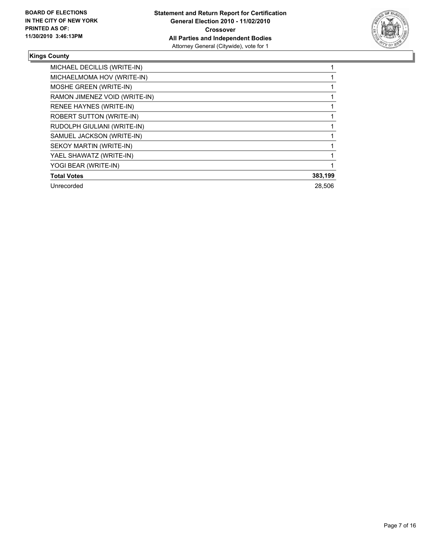

#### **Kings County**

| MICHAEL DECILLIS (WRITE-IN)     |         |
|---------------------------------|---------|
| MICHAELMOMA HOV (WRITE-IN)      |         |
| MOSHE GREEN (WRITE-IN)          |         |
| RAMON JIMENEZ VOID (WRITE-IN)   |         |
| <b>RENEE HAYNES (WRITE-IN)</b>  |         |
| <b>ROBERT SUTTON (WRITE-IN)</b> |         |
| RUDOLPH GIULIANI (WRITE-IN)     |         |
| SAMUEL JACKSON (WRITE-IN)       |         |
| SEKOY MARTIN (WRITE-IN)         |         |
| YAEL SHAWATZ (WRITE-IN)         |         |
| YOGI BEAR (WRITE-IN)            |         |
| <b>Total Votes</b>              | 383,199 |
| Unrecorded                      | 28.506  |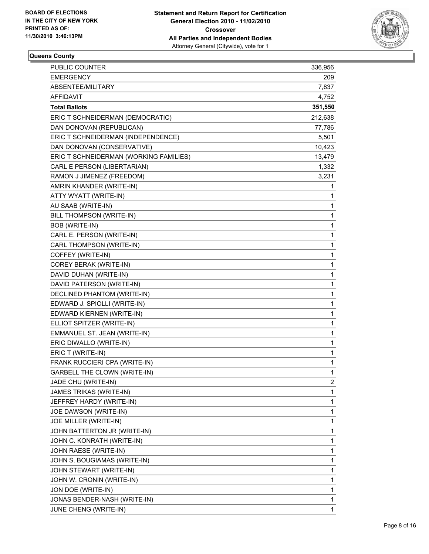

## **Queens County**

| PUBLIC COUNTER                         | 336,956      |
|----------------------------------------|--------------|
| <b>EMERGENCY</b>                       | 209          |
| ABSENTEE/MILITARY                      | 7,837        |
| AFFIDAVIT                              | 4,752        |
| <b>Total Ballots</b>                   | 351,550      |
| ERIC T SCHNEIDERMAN (DEMOCRATIC)       | 212,638      |
| DAN DONOVAN (REPUBLICAN)               | 77,786       |
| ERIC T SCHNEIDERMAN (INDEPENDENCE)     | 5,501        |
| DAN DONOVAN (CONSERVATIVE)             | 10,423       |
| ERIC T SCHNEIDERMAN (WORKING FAMILIES) | 13,479       |
| CARL E PERSON (LIBERTARIAN)            | 1,332        |
| RAMON J JIMENEZ (FREEDOM)              | 3,231        |
| AMRIN KHANDER (WRITE-IN)               | 1            |
| ATTY WYATT (WRITE-IN)                  | 1            |
| AU SAAB (WRITE-IN)                     | 1            |
| BILL THOMPSON (WRITE-IN)               | 1            |
| BOB (WRITE-IN)                         | 1            |
| CARL E. PERSON (WRITE-IN)              | 1            |
| CARL THOMPSON (WRITE-IN)               | 1            |
| COFFEY (WRITE-IN)                      | 1            |
| COREY BERAK (WRITE-IN)                 | 1            |
| DAVID DUHAN (WRITE-IN)                 | 1            |
| DAVID PATERSON (WRITE-IN)              | 1            |
| DECLINED PHANTOM (WRITE-IN)            | 1            |
| EDWARD J. SPIOLLI (WRITE-IN)           | 1            |
| EDWARD KIERNEN (WRITE-IN)              | 1            |
| ELLIOT SPITZER (WRITE-IN)              | 1            |
| EMMANUEL ST. JEAN (WRITE-IN)           | 1            |
| ERIC DIWALLO (WRITE-IN)                | 1            |
| ERIC T (WRITE-IN)                      | 1            |
| FRANK RUCCIERI CPA (WRITE-IN)          | 1            |
| <b>GARBELL THE CLOWN (WRITE-IN)</b>    | 1            |
| JADE CHU (WRITE-IN)                    | 2            |
| JAMES TRIKAS (WRITE-IN)                | 1            |
| JEFFREY HARDY (WRITE-IN)               | 1            |
| JOE DAWSON (WRITE-IN)                  | 1            |
| JOE MILLER (WRITE-IN)                  | 1            |
| JOHN BATTERTON JR (WRITE-IN)           | 1            |
| JOHN C. KONRATH (WRITE-IN)             | 1            |
| JOHN RAESE (WRITE-IN)                  | 1            |
| JOHN S. BOUGIAMAS (WRITE-IN)           | 1            |
| JOHN STEWART (WRITE-IN)                | 1            |
| JOHN W. CRONIN (WRITE-IN)              | 1            |
| JON DOE (WRITE-IN)                     | 1            |
| JONAS BENDER-NASH (WRITE-IN)           | 1            |
| JUNE CHENG (WRITE-IN)                  | $\mathbf{1}$ |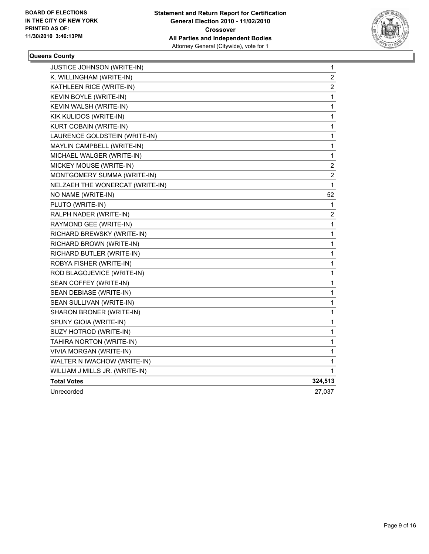

#### **Queens County**

| <b>JUSTICE JOHNSON (WRITE-IN)</b> | 1       |
|-----------------------------------|---------|
| K. WILLINGHAM (WRITE-IN)          | 2       |
| KATHLEEN RICE (WRITE-IN)          | 2       |
| KEVIN BOYLE (WRITE-IN)            | 1       |
| KEVIN WALSH (WRITE-IN)            | 1       |
| KIK KULIDOS (WRITE-IN)            | 1       |
| KURT COBAIN (WRITE-IN)            | 1       |
| LAURENCE GOLDSTEIN (WRITE-IN)     | 1       |
| MAYLIN CAMPBELL (WRITE-IN)        | 1       |
| MICHAEL WALGER (WRITE-IN)         | 1       |
| MICKEY MOUSE (WRITE-IN)           | 2       |
| MONTGOMERY SUMMA (WRITE-IN)       | 2       |
| NELZAEH THE WONERCAT (WRITE-IN)   | 1       |
| NO NAME (WRITE-IN)                | 52      |
| PLUTO (WRITE-IN)                  | 1       |
| RALPH NADER (WRITE-IN)            | 2       |
| RAYMOND GEE (WRITE-IN)            | 1       |
| RICHARD BREWSKY (WRITE-IN)        | 1       |
| RICHARD BROWN (WRITE-IN)          | 1       |
| RICHARD BUTLER (WRITE-IN)         | 1       |
| ROBYA FISHER (WRITE-IN)           | 1       |
| ROD BLAGOJEVICE (WRITE-IN)        | 1       |
| SEAN COFFEY (WRITE-IN)            | 1       |
| SEAN DEBIASE (WRITE-IN)           | 1       |
| SEAN SULLIVAN (WRITE-IN)          | 1       |
| SHARON BRONER (WRITE-IN)          | 1       |
| SPUNY GIOIA (WRITE-IN)            | 1       |
| SUZY HOTROD (WRITE-IN)            | 1       |
| TAHIRA NORTON (WRITE-IN)          | 1       |
| VIVIA MORGAN (WRITE-IN)           | 1       |
| WALTER N IWACHOW (WRITE-IN)       | 1       |
| WILLIAM J MILLS JR. (WRITE-IN)    | 1       |
| <b>Total Votes</b>                | 324,513 |
| Unrecorded                        | 27,037  |
|                                   |         |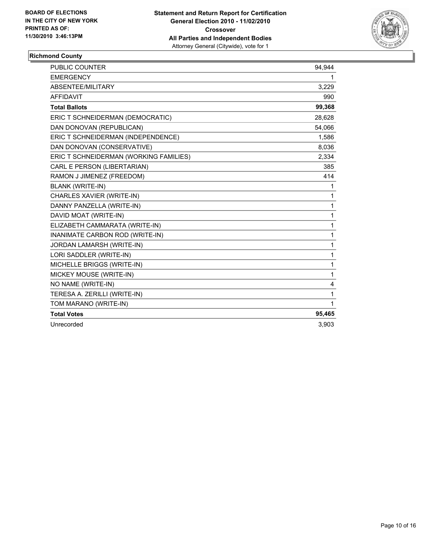

## **Richmond County**

| <b>PUBLIC COUNTER</b>                  | 94,944       |
|----------------------------------------|--------------|
| <b>EMERGENCY</b>                       | 1            |
| ABSENTEE/MILITARY                      | 3,229        |
| <b>AFFIDAVIT</b>                       | 990          |
| <b>Total Ballots</b>                   | 99,368       |
| ERIC T SCHNEIDERMAN (DEMOCRATIC)       | 28,628       |
| DAN DONOVAN (REPUBLICAN)               | 54,066       |
| ERIC T SCHNEIDERMAN (INDEPENDENCE)     | 1,586        |
| DAN DONOVAN (CONSERVATIVE)             | 8,036        |
| ERIC T SCHNEIDERMAN (WORKING FAMILIES) | 2,334        |
| CARL E PERSON (LIBERTARIAN)            | 385          |
| RAMON J JIMENEZ (FREEDOM)              | 414          |
| <b>BLANK (WRITE-IN)</b>                | 1            |
| CHARLES XAVIER (WRITE-IN)              | 1            |
| DANNY PANZELLA (WRITE-IN)              | 1            |
| DAVID MOAT (WRITE-IN)                  | 1            |
| ELIZABETH CAMMARATA (WRITE-IN)         | $\mathbf{1}$ |
| INANIMATE CARBON ROD (WRITE-IN)        | 1            |
| JORDAN LAMARSH (WRITE-IN)              | 1            |
| LORI SADDLER (WRITE-IN)                | 1            |
| MICHELLE BRIGGS (WRITE-IN)             | $\mathbf{1}$ |
| MICKEY MOUSE (WRITE-IN)                | $\mathbf{1}$ |
| NO NAME (WRITE-IN)                     | 4            |
| TERESA A. ZERILLI (WRITE-IN)           | 1            |
| TOM MARANO (WRITE-IN)                  | $\mathbf 1$  |
| <b>Total Votes</b>                     | 95,465       |
| Unrecorded                             | 3.903        |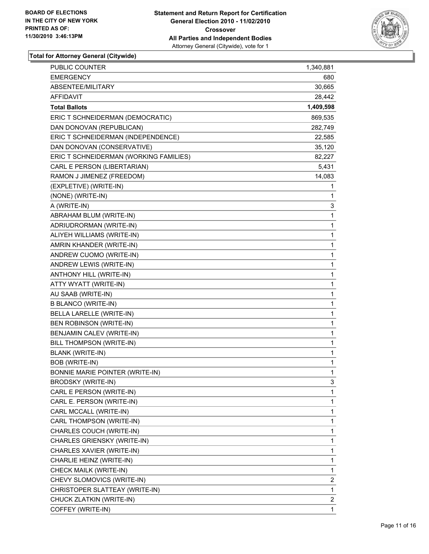

| PUBLIC COUNTER                         | 1,340,881    |
|----------------------------------------|--------------|
| <b>EMERGENCY</b>                       | 680          |
| ABSENTEE/MILITARY                      | 30,665       |
| <b>AFFIDAVIT</b>                       | 28,442       |
| <b>Total Ballots</b>                   | 1,409,598    |
| ERIC T SCHNEIDERMAN (DEMOCRATIC)       | 869,535      |
| DAN DONOVAN (REPUBLICAN)               | 282,749      |
| ERIC T SCHNEIDERMAN (INDEPENDENCE)     | 22,585       |
| DAN DONOVAN (CONSERVATIVE)             | 35,120       |
| ERIC T SCHNEIDERMAN (WORKING FAMILIES) | 82,227       |
| CARL E PERSON (LIBERTARIAN)            | 5,431        |
| RAMON J JIMENEZ (FREEDOM)              | 14,083       |
| (EXPLETIVE) (WRITE-IN)                 | 1            |
| (NONE) (WRITE-IN)                      | 1            |
| A (WRITE-IN)                           | 3            |
| ABRAHAM BLUM (WRITE-IN)                | 1            |
| ADRIUDRORMAN (WRITE-IN)                | 1            |
| ALIYEH WILLIAMS (WRITE-IN)             | 1            |
| AMRIN KHANDER (WRITE-IN)               | 1            |
| ANDREW CUOMO (WRITE-IN)                | 1            |
| ANDREW LEWIS (WRITE-IN)                | 1            |
| ANTHONY HILL (WRITE-IN)                | 1            |
| ATTY WYATT (WRITE-IN)                  | 1            |
| AU SAAB (WRITE-IN)                     | 1            |
| <b>B BLANCO (WRITE-IN)</b>             | 1            |
| BELLA LARELLE (WRITE-IN)               | 1            |
| <b>BEN ROBINSON (WRITE-IN)</b>         | 1            |
| BENJAMIN CALEV (WRITE-IN)              | 1            |
| BILL THOMPSON (WRITE-IN)               | 1            |
| <b>BLANK (WRITE-IN)</b>                | 1            |
| <b>BOB (WRITE-IN)</b>                  | 1            |
| BONNIE MARIE POINTER (WRITE-IN)        | 1            |
| <b>BRODSKY (WRITE-IN)</b>              | 3            |
| CARL E PERSON (WRITE-IN)               | $\mathbf{1}$ |
| CARL E. PERSON (WRITE-IN)              | 1            |
| CARL MCCALL (WRITE-IN)                 | 1            |
| CARL THOMPSON (WRITE-IN)               | 1            |
| CHARLES COUCH (WRITE-IN)               | 1            |
| CHARLES GRIENSKY (WRITE-IN)            | 1            |
| CHARLES XAVIER (WRITE-IN)              | 1            |
| CHARLIE HEINZ (WRITE-IN)               | 1            |
| CHECK MAILK (WRITE-IN)                 | 1            |
| CHEVY SLOMOVICS (WRITE-IN)             | 2            |
| CHRISTOPER SLATTEAY (WRITE-IN)         | 1            |
| CHUCK ZLATKIN (WRITE-IN)               | 2            |
| COFFEY (WRITE-IN)                      | $\mathbf{1}$ |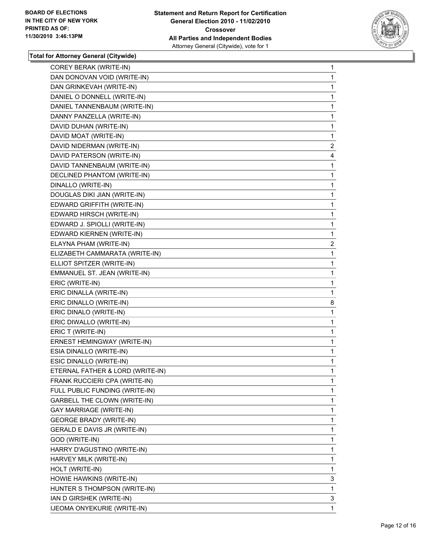

| COREY BERAK (WRITE-IN)              | 1                                                                                                                                                                                                                                                                                                                                                                                                                                                                                                                                                                                                                                                   |
|-------------------------------------|-----------------------------------------------------------------------------------------------------------------------------------------------------------------------------------------------------------------------------------------------------------------------------------------------------------------------------------------------------------------------------------------------------------------------------------------------------------------------------------------------------------------------------------------------------------------------------------------------------------------------------------------------------|
| DAN DONOVAN VOID (WRITE-IN)         | 1                                                                                                                                                                                                                                                                                                                                                                                                                                                                                                                                                                                                                                                   |
|                                     | 1                                                                                                                                                                                                                                                                                                                                                                                                                                                                                                                                                                                                                                                   |
|                                     | 1                                                                                                                                                                                                                                                                                                                                                                                                                                                                                                                                                                                                                                                   |
|                                     | 1                                                                                                                                                                                                                                                                                                                                                                                                                                                                                                                                                                                                                                                   |
|                                     | 1                                                                                                                                                                                                                                                                                                                                                                                                                                                                                                                                                                                                                                                   |
|                                     | 1                                                                                                                                                                                                                                                                                                                                                                                                                                                                                                                                                                                                                                                   |
|                                     | 1                                                                                                                                                                                                                                                                                                                                                                                                                                                                                                                                                                                                                                                   |
|                                     | $\overline{c}$                                                                                                                                                                                                                                                                                                                                                                                                                                                                                                                                                                                                                                      |
|                                     | 4                                                                                                                                                                                                                                                                                                                                                                                                                                                                                                                                                                                                                                                   |
|                                     | 1                                                                                                                                                                                                                                                                                                                                                                                                                                                                                                                                                                                                                                                   |
|                                     | 1                                                                                                                                                                                                                                                                                                                                                                                                                                                                                                                                                                                                                                                   |
|                                     | 1                                                                                                                                                                                                                                                                                                                                                                                                                                                                                                                                                                                                                                                   |
|                                     | 1                                                                                                                                                                                                                                                                                                                                                                                                                                                                                                                                                                                                                                                   |
|                                     | 1                                                                                                                                                                                                                                                                                                                                                                                                                                                                                                                                                                                                                                                   |
|                                     | 1                                                                                                                                                                                                                                                                                                                                                                                                                                                                                                                                                                                                                                                   |
|                                     | 1                                                                                                                                                                                                                                                                                                                                                                                                                                                                                                                                                                                                                                                   |
|                                     | 1                                                                                                                                                                                                                                                                                                                                                                                                                                                                                                                                                                                                                                                   |
|                                     | 2                                                                                                                                                                                                                                                                                                                                                                                                                                                                                                                                                                                                                                                   |
|                                     | 1                                                                                                                                                                                                                                                                                                                                                                                                                                                                                                                                                                                                                                                   |
|                                     | 1                                                                                                                                                                                                                                                                                                                                                                                                                                                                                                                                                                                                                                                   |
|                                     | 1                                                                                                                                                                                                                                                                                                                                                                                                                                                                                                                                                                                                                                                   |
|                                     | 1                                                                                                                                                                                                                                                                                                                                                                                                                                                                                                                                                                                                                                                   |
|                                     | 1                                                                                                                                                                                                                                                                                                                                                                                                                                                                                                                                                                                                                                                   |
| ERIC DINALLO (WRITE-IN)             | 8                                                                                                                                                                                                                                                                                                                                                                                                                                                                                                                                                                                                                                                   |
|                                     |                                                                                                                                                                                                                                                                                                                                                                                                                                                                                                                                                                                                                                                     |
| ERIC DINALO (WRITE-IN)              | 1                                                                                                                                                                                                                                                                                                                                                                                                                                                                                                                                                                                                                                                   |
| ERIC DIWALLO (WRITE-IN)             | 1                                                                                                                                                                                                                                                                                                                                                                                                                                                                                                                                                                                                                                                   |
| ERIC T (WRITE-IN)                   | 1                                                                                                                                                                                                                                                                                                                                                                                                                                                                                                                                                                                                                                                   |
| ERNEST HEMINGWAY (WRITE-IN)         | 1                                                                                                                                                                                                                                                                                                                                                                                                                                                                                                                                                                                                                                                   |
| ESIA DINALLO (WRITE-IN)             | 1                                                                                                                                                                                                                                                                                                                                                                                                                                                                                                                                                                                                                                                   |
| ESIC DINALLO (WRITE-IN)             | 1                                                                                                                                                                                                                                                                                                                                                                                                                                                                                                                                                                                                                                                   |
| ETERNAL FATHER & LORD (WRITE-IN)    | 1                                                                                                                                                                                                                                                                                                                                                                                                                                                                                                                                                                                                                                                   |
| FRANK RUCCIERI CPA (WRITE-IN)       | 1                                                                                                                                                                                                                                                                                                                                                                                                                                                                                                                                                                                                                                                   |
| FULL PUBLIC FUNDING (WRITE-IN)      | 1                                                                                                                                                                                                                                                                                                                                                                                                                                                                                                                                                                                                                                                   |
| <b>GARBELL THE CLOWN (WRITE-IN)</b> | 1                                                                                                                                                                                                                                                                                                                                                                                                                                                                                                                                                                                                                                                   |
| GAY MARRIAGE (WRITE-IN)             | 1                                                                                                                                                                                                                                                                                                                                                                                                                                                                                                                                                                                                                                                   |
| <b>GEORGE BRADY (WRITE-IN)</b>      | 1                                                                                                                                                                                                                                                                                                                                                                                                                                                                                                                                                                                                                                                   |
| GERALD E DAVIS JR (WRITE-IN)        | 1                                                                                                                                                                                                                                                                                                                                                                                                                                                                                                                                                                                                                                                   |
| GOD (WRITE-IN)                      | 1                                                                                                                                                                                                                                                                                                                                                                                                                                                                                                                                                                                                                                                   |
| HARRY D'AGUSTINO (WRITE-IN)         | 1                                                                                                                                                                                                                                                                                                                                                                                                                                                                                                                                                                                                                                                   |
| HARVEY MILK (WRITE-IN)              | 1                                                                                                                                                                                                                                                                                                                                                                                                                                                                                                                                                                                                                                                   |
| HOLT (WRITE-IN)                     | 1                                                                                                                                                                                                                                                                                                                                                                                                                                                                                                                                                                                                                                                   |
| HOWIE HAWKINS (WRITE-IN)            | 3                                                                                                                                                                                                                                                                                                                                                                                                                                                                                                                                                                                                                                                   |
| HUNTER S THOMPSON (WRITE-IN)        | 1                                                                                                                                                                                                                                                                                                                                                                                                                                                                                                                                                                                                                                                   |
| IAN D GIRSHEK (WRITE-IN)            | 3                                                                                                                                                                                                                                                                                                                                                                                                                                                                                                                                                                                                                                                   |
|                                     | DAN GRINKEVAH (WRITE-IN)<br>DANIEL O DONNELL (WRITE-IN)<br>DANIEL TANNENBAUM (WRITE-IN)<br>DANNY PANZELLA (WRITE-IN)<br>DAVID DUHAN (WRITE-IN)<br>DAVID MOAT (WRITE-IN)<br>DAVID NIDERMAN (WRITE-IN)<br>DAVID PATERSON (WRITE-IN)<br>DAVID TANNENBAUM (WRITE-IN)<br>DECLINED PHANTOM (WRITE-IN)<br>DINALLO (WRITE-IN)<br>DOUGLAS DIKI JIAN (WRITE-IN)<br>EDWARD GRIFFITH (WRITE-IN)<br>EDWARD HIRSCH (WRITE-IN)<br>EDWARD J. SPIOLLI (WRITE-IN)<br>EDWARD KIERNEN (WRITE-IN)<br>ELAYNA PHAM (WRITE-IN)<br>ELIZABETH CAMMARATA (WRITE-IN)<br>ELLIOT SPITZER (WRITE-IN)<br>EMMANUEL ST. JEAN (WRITE-IN)<br>ERIC (WRITE-IN)<br>ERIC DINALLA (WRITE-IN) |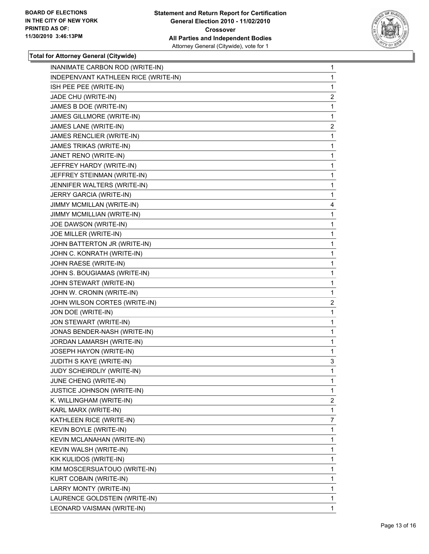

| INANIMATE CARBON ROD (WRITE-IN)      | $\mathbf 1$    |
|--------------------------------------|----------------|
| INDEPENVANT KATHLEEN RICE (WRITE-IN) | 1              |
| ISH PEE PEE (WRITE-IN)               | 1              |
| JADE CHU (WRITE-IN)                  | 2              |
| JAMES B DOE (WRITE-IN)               | 1              |
| JAMES GILLMORE (WRITE-IN)            | 1              |
| JAMES LANE (WRITE-IN)                | 2              |
| JAMES RENCLIER (WRITE-IN)            | 1              |
| <b>JAMES TRIKAS (WRITE-IN)</b>       | 1              |
| JANET RENO (WRITE-IN)                | 1              |
| JEFFREY HARDY (WRITE-IN)             | 1              |
| JEFFREY STEINMAN (WRITE-IN)          | 1              |
| JENNIFER WALTERS (WRITE-IN)          | 1              |
| JERRY GARCIA (WRITE-IN)              | 1              |
| JIMMY MCMILLAN (WRITE-IN)            | 4              |
| JIMMY MCMILLIAN (WRITE-IN)           | 1              |
| JOE DAWSON (WRITE-IN)                | 1              |
| JOE MILLER (WRITE-IN)                | 1              |
| JOHN BATTERTON JR (WRITE-IN)         | 1              |
| JOHN C. KONRATH (WRITE-IN)           | 1              |
| JOHN RAESE (WRITE-IN)                | 1              |
| JOHN S. BOUGIAMAS (WRITE-IN)         | 1              |
| JOHN STEWART (WRITE-IN)              | 1              |
| JOHN W. CRONIN (WRITE-IN)            | 1              |
| JOHN WILSON CORTES (WRITE-IN)        | $\overline{c}$ |
| JON DOE (WRITE-IN)                   | 1              |
| JON STEWART (WRITE-IN)               | 1              |
| JONAS BENDER-NASH (WRITE-IN)         | 1              |
| JORDAN LAMARSH (WRITE-IN)            | 1              |
| JOSEPH HAYON (WRITE-IN)              | 1              |
| JUDITH S KAYE (WRITE-IN)             | 3              |
| JUDY SCHEIRDLIY (WRITE-IN)           | 1              |
| JUNE CHENG (WRITE-IN)                | 1              |
| JUSTICE JOHNSON (WRITE-IN)           | 1              |
| K. WILLINGHAM (WRITE-IN)             | 2              |
| KARL MARX (WRITE-IN)                 | 1              |
| KATHLEEN RICE (WRITE-IN)             | 7              |
| KEVIN BOYLE (WRITE-IN)               | 1              |
| KEVIN MCLANAHAN (WRITE-IN)           | 1              |
| KEVIN WALSH (WRITE-IN)               | 1              |
| KIK KULIDOS (WRITE-IN)               | 1              |
| KIM MOSCERSUATOUO (WRITE-IN)         | 1              |
| KURT COBAIN (WRITE-IN)               | 1              |
| LARRY MONTY (WRITE-IN)               | 1              |
| LAURENCE GOLDSTEIN (WRITE-IN)        | 1              |
| LEONARD VAISMAN (WRITE-IN)           | 1              |
|                                      |                |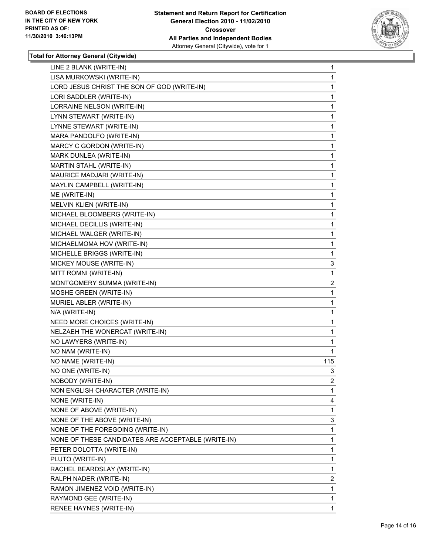

| LINE 2 BLANK (WRITE-IN)                            | 1              |
|----------------------------------------------------|----------------|
| LISA MURKOWSKI (WRITE-IN)                          | 1              |
| LORD JESUS CHRIST THE SON OF GOD (WRITE-IN)        | 1              |
| LORI SADDLER (WRITE-IN)                            | 1              |
| LORRAINE NELSON (WRITE-IN)                         | 1              |
| LYNN STEWART (WRITE-IN)                            | 1              |
| LYNNE STEWART (WRITE-IN)                           | 1              |
| MARA PANDOLFO (WRITE-IN)                           | 1              |
| MARCY C GORDON (WRITE-IN)                          | 1              |
| MARK DUNLEA (WRITE-IN)                             | 1              |
| MARTIN STAHL (WRITE-IN)                            | 1              |
| MAURICE MADJARI (WRITE-IN)                         | 1              |
| MAYLIN CAMPBELL (WRITE-IN)                         | 1              |
| ME (WRITE-IN)                                      | 1              |
| MELVIN KLIEN (WRITE-IN)                            | 1              |
| MICHAEL BLOOMBERG (WRITE-IN)                       | 1              |
| MICHAEL DECILLIS (WRITE-IN)                        | 1              |
| MICHAEL WALGER (WRITE-IN)                          | 1              |
| MICHAELMOMA HOV (WRITE-IN)                         | 1              |
| MICHELLE BRIGGS (WRITE-IN)                         | 1              |
| MICKEY MOUSE (WRITE-IN)                            | 3              |
| MITT ROMNI (WRITE-IN)                              | 1              |
| MONTGOMERY SUMMA (WRITE-IN)                        | 2              |
| MOSHE GREEN (WRITE-IN)                             | 1              |
| MURIEL ABLER (WRITE-IN)                            | 1              |
| N/A (WRITE-IN)                                     | 1              |
| NEED MORE CHOICES (WRITE-IN)                       | 1              |
| NELZAEH THE WONERCAT (WRITE-IN)                    | 1              |
| NO LAWYERS (WRITE-IN)                              | 1              |
| NO NAM (WRITE-IN)                                  | 1              |
| NO NAME (WRITE-IN)                                 | 115            |
| NO ONE (WRITE-IN)                                  | 3              |
| NOBODY (WRITE-IN)                                  | 2              |
| NON ENGLISH CHARACTER (WRITE-IN)                   | 1              |
| NONE (WRITE-IN)                                    | 4              |
| NONE OF ABOVE (WRITE-IN)                           | 1              |
| NONE OF THE ABOVE (WRITE-IN)                       | 3              |
| NONE OF THE FOREGOING (WRITE-IN)                   | 1              |
| NONE OF THESE CANDIDATES ARE ACCEPTABLE (WRITE-IN) | 1              |
| PETER DOLOTTA (WRITE-IN)                           | 1              |
| PLUTO (WRITE-IN)                                   | 1              |
| RACHEL BEARDSLAY (WRITE-IN)                        | 1              |
| RALPH NADER (WRITE-IN)                             | $\overline{2}$ |
| RAMON JIMENEZ VOID (WRITE-IN)                      | 1              |
| RAYMOND GEE (WRITE-IN)                             | 1              |
| RENEE HAYNES (WRITE-IN)                            | 1              |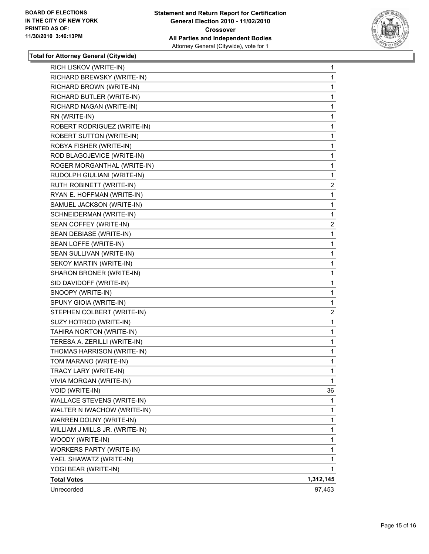

| RICH LISKOV (WRITE-IN)         | $\mathbf 1$    |
|--------------------------------|----------------|
| RICHARD BREWSKY (WRITE-IN)     | 1              |
| RICHARD BROWN (WRITE-IN)       | $\mathbf 1$    |
| RICHARD BUTLER (WRITE-IN)      | 1              |
| RICHARD NAGAN (WRITE-IN)       | 1              |
| RN (WRITE-IN)                  | 1              |
| ROBERT RODRIGUEZ (WRITE-IN)    | 1              |
| ROBERT SUTTON (WRITE-IN)       | 1              |
| ROBYA FISHER (WRITE-IN)        | $\mathbf 1$    |
| ROD BLAGOJEVICE (WRITE-IN)     | 1              |
| ROGER MORGANTHAL (WRITE-IN)    | $\mathbf{1}$   |
| RUDOLPH GIULIANI (WRITE-IN)    | 1              |
| RUTH ROBINETT (WRITE-IN)       | 2              |
| RYAN E. HOFFMAN (WRITE-IN)     | 1              |
| SAMUEL JACKSON (WRITE-IN)      | $\mathbf 1$    |
| SCHNEIDERMAN (WRITE-IN)        | 1              |
| SEAN COFFEY (WRITE-IN)         | $\overline{c}$ |
| SEAN DEBIASE (WRITE-IN)        | 1              |
| SEAN LOFFE (WRITE-IN)          | 1              |
| SEAN SULLIVAN (WRITE-IN)       | $\mathbf 1$    |
| SEKOY MARTIN (WRITE-IN)        | $\mathbf 1$    |
| SHARON BRONER (WRITE-IN)       | 1              |
| SID DAVIDOFF (WRITE-IN)        | $\mathbf 1$    |
| SNOOPY (WRITE-IN)              | 1              |
| SPUNY GIOIA (WRITE-IN)         | $\mathbf 1$    |
| STEPHEN COLBERT (WRITE-IN)     | $\overline{c}$ |
| SUZY HOTROD (WRITE-IN)         | $\mathbf 1$    |
| TAHIRA NORTON (WRITE-IN)       | 1              |
| TERESA A. ZERILLI (WRITE-IN)   | $\mathbf 1$    |
| THOMAS HARRISON (WRITE-IN)     | 1              |
| TOM MARANO (WRITE-IN)          | 1              |
| TRACY LARY (WRITE-IN)          | $\mathbf{1}$   |
| VIVIA MORGAN (WRITE-IN)        | 1              |
| VOID (WRITE-IN)                | 36             |
| WALLACE STEVENS (WRITE-IN)     | 1              |
| WALTER N IWACHOW (WRITE-IN)    | 1              |
| WARREN DOLNY (WRITE-IN)        | 1              |
| WILLIAM J MILLS JR. (WRITE-IN) | $\mathbf{1}$   |
| WOODY (WRITE-IN)               | 1              |
| WORKERS PARTY (WRITE-IN)       | 1              |
| YAEL SHAWATZ (WRITE-IN)        | 1              |
| YOGI BEAR (WRITE-IN)           | 1              |
| <b>Total Votes</b>             | 1,312,145      |
| Unrecorded                     | 97,453         |